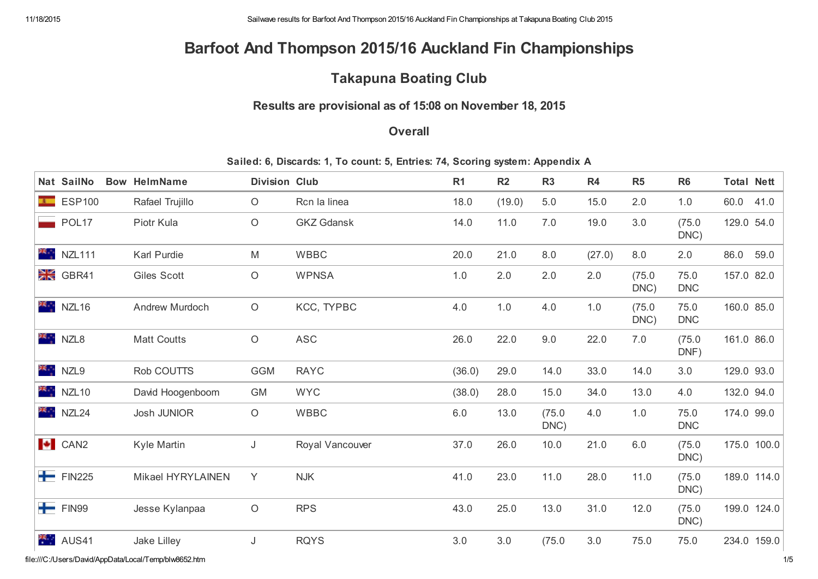## Barfoot And Thompson 2015/16 Auckland Fin Championships

## Takapuna Boating Club

## Results are provisional as of 15:08 on November 18, 2015

## **Overall**

Sailed: 6, Discards: 1, To count: 5, Entries: 74, Scoring system: Appendix A

| Nat SailNo                                       | <b>Bow HelmName</b> | <b>Division Club</b> |                   | R <sub>1</sub> | R <sub>2</sub> | R <sub>3</sub> | R <sub>4</sub> | R <sub>5</sub> | R <sub>6</sub>     | <b>Total Nett</b> |
|--------------------------------------------------|---------------------|----------------------|-------------------|----------------|----------------|----------------|----------------|----------------|--------------------|-------------------|
| $E$ ESP100                                       | Rafael Trujillo     | $\circ$              | Rcn la linea      | 18.0           | (19.0)         | 5.0            | 15.0           | 2.0            | 1.0                | 60.0<br>41.0      |
| POL17                                            | Piotr Kula          | $\circ$              | <b>GKZ Gdansk</b> | 14.0           | 11.0           | 7.0            | 19.0           | 3.0            | (75.0)<br>DNC)     | 129.0 54.0        |
| $\mathbb{Z}$ NZL111                              | Karl Purdie         | M                    | <b>WBBC</b>       | 20.0           | 21.0           | 8.0            | (27.0)         | 8.0            | 2.0                | 59.0<br>86.0      |
| <b>XX</b> GBR41                                  | Giles Scott         | $\circ$              | <b>WPNSA</b>      | 1.0            | 2.0            | 2.0            | 2.0            | (75.0)<br>DNC) | 75.0<br><b>DNC</b> | 157.0 82.0        |
| $\mathbb{R}$ NZL16                               | Andrew Murdoch      | $\bigcirc$           | KCC, TYPBC        | 4.0            | 1.0            | 4.0            | 1.0            | (75.0)<br>DNC) | 75.0<br><b>DNC</b> | 160.0 85.0        |
| $\mathbb{R}$ NZL8                                | Matt Coutts         | $\bigcirc$           | ASC               | 26.0           | 22.0           | 9.0            | 22.0           | 7.0            | (75.0)<br>DNF)     | 161.0 86.0        |
| $\mathbb{H}$ NZL9                                | Rob COUTTS          | <b>GGM</b>           | <b>RAYC</b>       | (36.0)         | 29.0           | 14.0           | 33.0           | 14.0           | 3.0                | 129.0 93.0        |
| $\mathbb{R}$ NZL10                               | David Hoogenboom    | GM                   | <b>WYC</b>        | (38.0)         | 28.0           | 15.0           | 34.0           | 13.0           | 4.0                | 132.0 94.0        |
| $\mathbb{R}$ NZL24                               | <b>Josh JUNIOR</b>  | O                    | <b>WBBC</b>       | 6.0            | 13.0           | (75.0)<br>DNC) | 4.0            | 1.0            | 75.0<br><b>DNC</b> | 174.0 99.0        |
| $\begin{array}{ c c }\n\hline\n\end{array}$ CAN2 | Kyle Martin         | J                    | Royal Vancouver   | 37.0           | 26.0           | 10.0           | 21.0           | 6.0            | (75.0)<br>DNC)     | 175.0 100.0       |
| $F$ FIN225                                       | Mikael HYRYLAINEN   | Y                    | <b>NJK</b>        | 41.0           | 23.0           | 11.0           | 28.0           | 11.0           | (75.0)<br>DNC)     | 189.0 114.0       |
| $F$ FIN99                                        | Jesse Kylanpaa      | $\bigcirc$           | <b>RPS</b>        | 43.0           | 25.0           | 13.0           | 31.0           | 12.0           | (75.0)<br>DNC)     | 199.0 124.0       |
| <b>THE AUS41</b>                                 | Jake Lilley         | J                    | <b>RQYS</b>       | 3.0            | 3.0            | (75.0)         | 3.0            | 75.0           | 75.0               | 234.0 159.0       |

file:///C:/Users/David/AppData/Local/Temp/blw8652.htm 1/5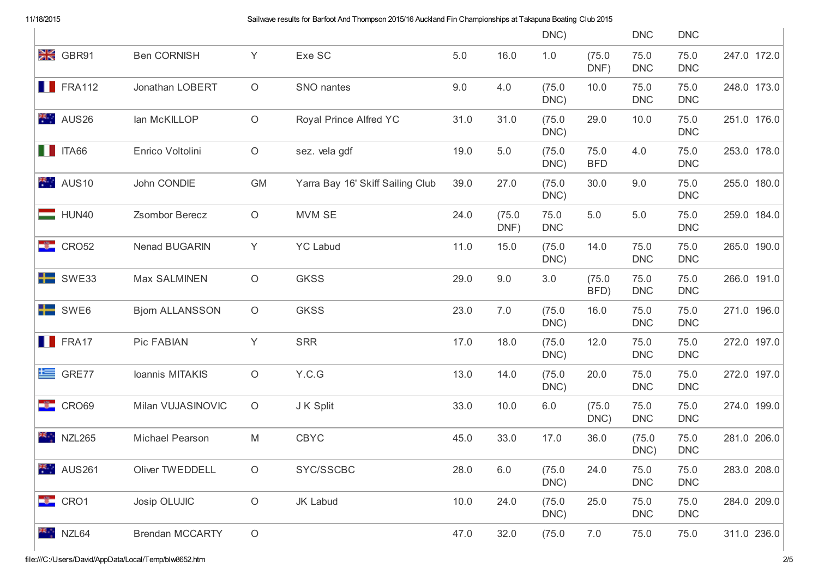11/18/2015 Sailwave results for Barfoot And Thompson 2015/16 Auckland Fin Championships at Takapuna Boating Club 2015

|                       |                        |            |                                  |      |                | DNC)               |                    | <b>DNC</b>         | <b>DNC</b>         |             |
|-----------------------|------------------------|------------|----------------------------------|------|----------------|--------------------|--------------------|--------------------|--------------------|-------------|
| <b>XX</b> GBR91       | <b>Ben CORNISH</b>     | Y          | Exe SC                           | 5.0  | 16.0           | 1.0                | (75.0)<br>DNF)     | 75.0<br><b>DNC</b> | 75.0<br><b>DNC</b> | 247.0 172.0 |
| $\blacksquare$ FRA112 | Jonathan LOBERT        | $\circ$    | SNO nantes                       | 9.0  | 4.0            | (75.0)<br>DNC)     | 10.0               | 75.0<br><b>DNC</b> | 75.0<br><b>DNC</b> | 248.0 173.0 |
| AUS26                 | lan McKILLOP           | $\circ$    | Royal Prince Alfred YC           | 31.0 | 31.0           | (75.0)<br>DNC)     | 29.0               | 10.0               | 75.0<br><b>DNC</b> | 251.0 176.0 |
| $\blacksquare$ ITA66  | Enrico Voltolini       | $\bigcirc$ | sez. vela gdf                    | 19.0 | 5.0            | (75.0)<br>DNC)     | 75.0<br><b>BFD</b> | 4.0                | 75.0<br><b>DNC</b> | 253.0 178.0 |
| <b>AUS10</b>          | John CONDIE            | <b>GM</b>  | Yarra Bay 16' Skiff Sailing Club | 39.0 | 27.0           | (75.0)<br>DNC)     | 30.0               | 9.0                | 75.0<br><b>DNC</b> | 255.0 180.0 |
| HUN40                 | Zsombor Berecz         | $\bigcirc$ | MVM SE                           | 24.0 | (75.0)<br>DNF) | 75.0<br><b>DNC</b> | 5.0                | $5.0$              | 75.0<br><b>DNC</b> | 259.0 184.0 |
| CRO52                 | Nenad BUGARIN          | Y          | <b>YC Labud</b>                  | 11.0 | 15.0           | (75.0)<br>DNC)     | 14.0               | 75.0<br><b>DNC</b> | 75.0<br><b>DNC</b> | 265.0 190.0 |
| $\blacksquare$ SWE33  | Max SALMINEN           | $\bigcirc$ | <b>GKSS</b>                      | 29.0 | 9.0            | 3.0                | (75.0)<br>BFD)     | 75.0<br><b>DNC</b> | 75.0<br><b>DNC</b> | 266.0 191.0 |
| $\blacksquare$ SWE6   | <b>Bjorn ALLANSSON</b> | $\bigcirc$ | <b>GKSS</b>                      | 23.0 | 7.0            | (75.0)<br>DNC)     | 16.0               | 75.0<br><b>DNC</b> | 75.0<br><b>DNC</b> | 271.0 196.0 |
| <b>FRA17</b>          | Pic FABIAN             | Y          | <b>SRR</b>                       | 17.0 | 18.0           | (75.0)<br>DNC)     | 12.0               | 75.0<br><b>DNC</b> | 75.0<br><b>DNC</b> | 272.0 197.0 |
| $\mathbf{E}$ GRE77    | Ioannis MITAKIS        | $\bigcirc$ | Y.C.G                            | 13.0 | 14.0           | (75.0)<br>DNC)     | 20.0               | 75.0<br><b>DNC</b> | 75.0<br><b>DNC</b> | 272.0 197.0 |
| CRO69                 | Milan VUJASINOVIC      | $\bigcirc$ | J K Split                        | 33.0 | 10.0           | 6.0                | (75.0)<br>DNC)     | 75.0<br><b>DNC</b> | 75.0<br><b>DNC</b> | 274.0 199.0 |
| $\mathbb{H}$ NZL265   | Michael Pearson        | M          | <b>CBYC</b>                      | 45.0 | 33.0           | 17.0               | 36.0               | (75.0)<br>DNC)     | 75.0<br><b>DNC</b> | 281.0 206.0 |
| AUS261                | Oliver TWEDDELL        | $\bigcirc$ | SYC/SSCBC                        | 28.0 | 6.0            | (75.0)<br>DNC)     | 24.0               | 75.0<br><b>DNC</b> | 75.0<br><b>DNC</b> | 283.0 208.0 |
| $\Box$ CRO1           | Josip OLUJIC           | $\bigcirc$ | JK Labud                         | 10.0 | 24.0           | (75.0)<br>DNC)     | 25.0               | 75.0<br><b>DNC</b> | 75.0<br><b>DNC</b> | 284.0 209.0 |
| $\frac{1}{2}$ NZL64   | <b>Brendan MCCARTY</b> | $\bigcirc$ |                                  | 47.0 | 32.0           | (75.0)             | 7.0                | 75.0               | 75.0               | 311.0 236.0 |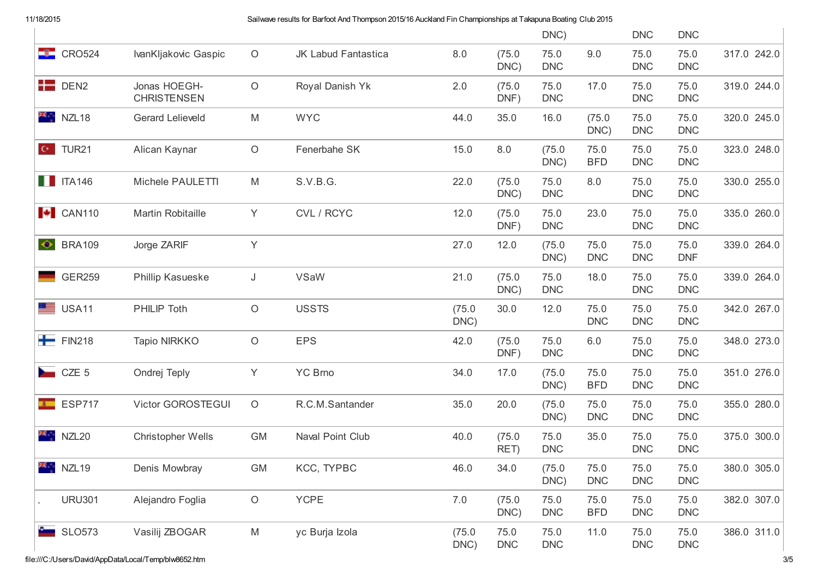11/18/2015 Sailwave results for Barfoot And Thompson 2015/16 Auckland Fin Championships at Takapuna Boating Club 2015

|                         |                                    |            |                     |                |                     | DNC)                |                    | <b>DNC</b>             | <b>DNC</b>         |             |
|-------------------------|------------------------------------|------------|---------------------|----------------|---------------------|---------------------|--------------------|------------------------|--------------------|-------------|
| CRO524                  | IvanKljakovic Gaspic               | $\circ$    | JK Labud Fantastica | 8.0            | (75.0)<br>DNC)      | 75.0<br><b>DNC</b>  | 9.0                | 75.0<br><b>DNC</b>     | 75.0<br><b>DNC</b> | 317.0 242.0 |
| $P = DEN2$              | Jonas HOEGH-<br><b>CHRISTENSEN</b> | $\bigcirc$ | Royal Danish Yk     | 2.0            | (75.0)<br>DNF)      | 75.0<br><b>DNC</b>  | 17.0               | 75.0<br><b>DNC</b>     | 75.0<br><b>DNC</b> | 319.0 244.0 |
| NZL18                   | Gerard Lelieveld                   | M          | <b>WYC</b>          | 44.0           | 35.0                | 16.0                | (75.0)<br>DNC)     | 75.0<br><b>DNC</b>     | 75.0<br><b>DNC</b> | 320.0 245.0 |
| $\overline{C}$ TUR21    | Alican Kaynar                      | $\bigcirc$ | Fenerbahe SK        | 15.0           | 8.0                 | (75.0)<br>DNC)      | 75.0<br><b>BFD</b> | 75.0<br><b>DNC</b>     | 75.0<br><b>DNC</b> | 323.0 248.0 |
| $\blacksquare$ ITA146   | Michele PAULETTI                   | M          | S.V.B.G.            | 22.0           | (75.0)<br>DNC)      | 75.0<br><b>DNC</b>  | 8.0                | 75.0<br>$\mathsf{DNC}$ | 75.0<br><b>DNC</b> | 330.0 255.0 |
| $\bullet$ CAN110        | Martin Robitaille                  | Y          | CVL / RCYC          | 12.0           | (75.0)<br>DNF)      | 75.0<br><b>DNC</b>  | 23.0               | 75.0<br><b>DNC</b>     | 75.0<br><b>DNC</b> | 335.0 260.0 |
| $\bullet$ BRA109        | Jorge ZARIF                        | Y          |                     | 27.0           | 12.0                | (75.0)<br>DNC)      | 75.0<br><b>DNC</b> | 75.0<br><b>DNC</b>     | 75.0<br><b>DNF</b> | 339.0 264.0 |
| <b>GER259</b>           | Phillip Kasueske                   | J          | VSaW                | 21.0           | (75.0)<br>DNC)      | 75.0<br><b>DNC</b>  | 18.0               | 75.0<br><b>DNC</b>     | 75.0<br><b>DNC</b> | 339.0 264.0 |
| $\equiv$ USA11          | <b>PHILIP Toth</b>                 | $\bigcirc$ | <b>USSTS</b>        | (75.0)<br>DNC) | 30.0                | 12.0                | 75.0<br><b>DNC</b> | 75.0<br><b>DNC</b>     | 75.0<br><b>DNC</b> | 342.0 267.0 |
| FIN218                  | Tapio NIRKKO                       | $\bigcirc$ | <b>EPS</b>          | 42.0           | (75.0)<br>DNF)      | 75.0<br><b>DNC</b>  | 6.0                | 75.0<br><b>DNC</b>     | 75.0<br><b>DNC</b> | 348.0 273.0 |
| $\sim$ CZE 5            | Ondrej Teply                       | Y          | YC Brno             | 34.0           | 17.0                | (75.0)<br>DNC)      | 75.0<br><b>BFD</b> | 75.0<br><b>DNC</b>     | 75.0<br><b>DNC</b> | 351.0 276.0 |
| $E$ ESP717              | Victor GOROSTEGUI                  | $\circ$    | R.C.M.Santander     | 35.0           | 20.0                | (75.0)<br>DNC)      | 75.0<br><b>DNC</b> | 75.0<br><b>DNC</b>     | 75.0<br><b>DNC</b> | 355.0 280.0 |
| $\frac{1}{2}$ NZL20     | Christopher Wells                  | GM         | Naval Point Club    | 40.0           | (75.0)<br>RET)      | 75.0<br><b>DNC</b>  | 35.0               | 75.0<br><b>DNC</b>     | 75.0<br><b>DNC</b> | 375.0 300.0 |
| ※.<br>NZL <sub>19</sub> | Denis Mowbray                      | GM         | KCC, TYPBC          | 46.0           | 34.0                | (75.0)<br>DNC)      | 75.0<br><b>DNC</b> | 75.0<br><b>DNC</b>     | 75.0<br><b>DNC</b> | 380.0 305.0 |
| <b>URU301</b>           | Alejandro Foglia                   | $\bigcirc$ | <b>YCPE</b>         | 7.0            | (75.0)<br>DNC)      | 75.0<br><b>DNC</b>  | 75.0<br><b>BFD</b> | 75.0<br><b>DNC</b>     | 75.0<br><b>DNC</b> | 382.0 307.0 |
| <b>SLO573</b>           | Vasilij ZBOGAR                     | M          | yc Burja Izola      | (75.0)<br>DNC) | 75.0<br>${\sf DNC}$ | 75.0<br>${\sf DNC}$ | 11.0               | 75.0<br><b>DNC</b>     | 75.0<br><b>DNC</b> | 386.0 311.0 |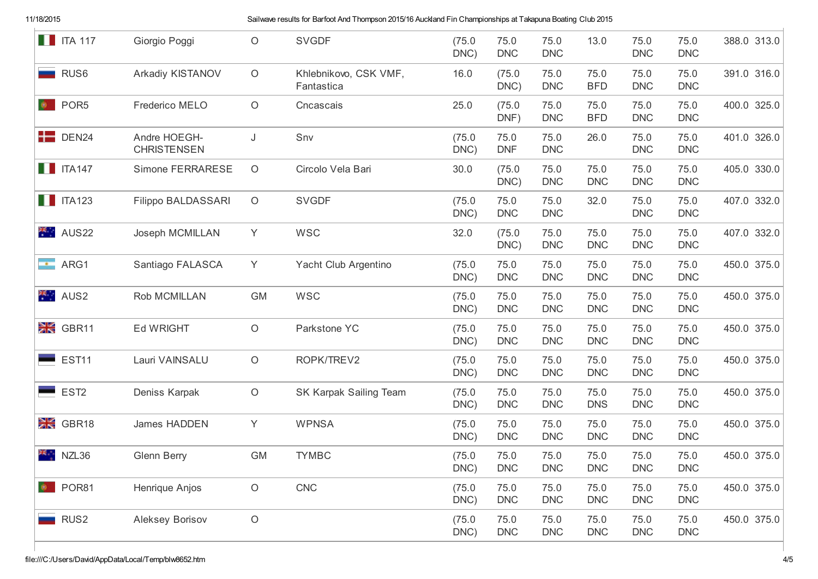n.

11/18/2015 Sailwave results for Barfoot And Thompson 2015/16 Auckland Fin Championships at Takapuna Boating Club 2015

| $\blacksquare$ ITA 117 | Giorgio Poggi                      | $\bigcirc$          | <b>SVGDF</b>                        | (75.0)<br>DNC) | 75.0<br><b>DNC</b> | 75.0<br><b>DNC</b> | 13.0               | 75.0<br><b>DNC</b> | 75.0<br><b>DNC</b>  | 388.0 313.0 |
|------------------------|------------------------------------|---------------------|-------------------------------------|----------------|--------------------|--------------------|--------------------|--------------------|---------------------|-------------|
| RUS <sub>6</sub>       | Arkadiy KISTANOV                   | $\bigcirc$          | Khlebnikovo, CSK VMF,<br>Fantastica | 16.0           | (75.0)<br>DNC)     | 75.0<br><b>DNC</b> | 75.0<br><b>BFD</b> | 75.0<br><b>DNC</b> | 75.0<br><b>DNC</b>  | 391.0 316.0 |
| <b>D</b> POR5          | Frederico MELO                     | $\bigcirc$          | Cncascais                           | 25.0           | (75.0)<br>DNF)     | 75.0<br><b>DNC</b> | 75.0<br><b>BFD</b> | 75.0<br><b>DNC</b> | 75.0<br><b>DNC</b>  | 400.0 325.0 |
| $\blacksquare$ DEN24   | Andre HOEGH-<br><b>CHRISTENSEN</b> | J                   | Snv                                 | (75.0)<br>DNC) | 75.0<br><b>DNF</b> | 75.0<br><b>DNC</b> | 26.0               | 75.0<br><b>DNC</b> | 75.0<br><b>DNC</b>  | 401.0 326.0 |
| $\blacksquare$ ITA147  | Simone FERRARESE                   | $\circlearrowright$ | Circolo Vela Bari                   | 30.0           | (75.0)<br>DNC)     | 75.0<br><b>DNC</b> | 75.0<br><b>DNC</b> | 75.0<br><b>DNC</b> | 75.0<br><b>DNC</b>  | 405.0 330.0 |
| $\blacksquare$ ITA123  | Filippo BALDASSARI                 | $\bigcirc$          | <b>SVGDF</b>                        | (75.0)<br>DNC) | 75.0<br><b>DNC</b> | 75.0<br><b>DNC</b> | 32.0               | 75.0<br><b>DNC</b> | 75.0<br><b>DNC</b>  | 407.0 332.0 |
| AUS22                  | Joseph MCMILLAN                    | Y                   | WSC                                 | 32.0           | (75.0)<br>DNC)     | 75.0<br><b>DNC</b> | 75.0<br><b>DNC</b> | 75.0<br><b>DNC</b> | 75.0<br><b>DNC</b>  | 407.0 332.0 |
| $\cdot$ ARG1           | Santiago FALASCA                   | Y                   | Yacht Club Argentino                | (75.0)<br>DNC) | 75.0<br><b>DNC</b> | 75.0<br><b>DNC</b> | 75.0<br><b>DNC</b> | 75.0<br><b>DNC</b> | 75.0<br><b>DNC</b>  | 450.0 375.0 |
| AUS2                   | Rob MCMILLAN                       | GM                  | WSC                                 | (75.0)<br>DNC) | 75.0<br><b>DNC</b> | 75.0<br><b>DNC</b> | 75.0<br><b>DNC</b> | 75.0<br><b>DNC</b> | 75.0<br><b>DNC</b>  | 450.0 375.0 |
| <b>XX</b> GBR11        | Ed WRIGHT                          | $\bigcirc$          | Parkstone YC                        | (75.0)<br>DNC) | 75.0<br><b>DNC</b> | 75.0<br><b>DNC</b> | 75.0<br><b>DNC</b> | 75.0<br><b>DNC</b> | 75.0<br><b>DNC</b>  | 450.0 375.0 |
| <b>EST11</b>           | Lauri VAINSALU                     | $\bigcirc$          | ROPK/TREV2                          | (75.0)<br>DNC) | 75.0<br><b>DNC</b> | 75.0<br><b>DNC</b> | 75.0<br><b>DNC</b> | 75.0<br><b>DNC</b> | 75.0<br><b>DNC</b>  | 450.0 375.0 |
| EST <sub>2</sub>       | Deniss Karpak                      | $\bigcirc$          | SK Karpak Sailing Team              | (75.0)<br>DNC) | 75.0<br><b>DNC</b> | 75.0<br><b>DNC</b> | 75.0<br><b>DNS</b> | 75.0<br><b>DNC</b> | 75.0<br><b>DNC</b>  | 450.0 375.0 |
| <b>XX</b> GBR18        | James HADDEN                       | Y                   | <b>WPNSA</b>                        | (75.0)<br>DNC) | 75.0<br><b>DNC</b> | 75.0<br><b>DNC</b> | 75.0<br><b>DNC</b> | 75.0<br><b>DNC</b> | 75.0<br><b>DNC</b>  | 450.0 375.0 |
| $\mathbb{R}$ NZL36     | <b>Glenn Berry</b>                 | GM                  | <b>TYMBC</b>                        | (75.0)<br>DNC) | 75.0<br><b>DNC</b> | 75.0<br><b>DNC</b> | 75.0<br><b>DNC</b> | 75.0<br><b>DNC</b> | 75.0<br><b>DNC</b>  | 450.0 375.0 |
| POR81                  | Henrique Anjos                     | $\circ$             | ${\sf CNC}$                         | (75.0)<br>DNC) | 75.0<br><b>DNC</b> | 75.0<br><b>DNC</b> | 75.0<br><b>DNC</b> | 75.0<br><b>DNC</b> | 75.0<br>${\sf DNC}$ | 450.0 375.0 |
| RUS <sub>2</sub>       | Aleksey Borisov                    | $\bigcirc$          |                                     | (75.0)<br>DNC) | 75.0<br><b>DNC</b> | 75.0<br><b>DNC</b> | 75.0<br><b>DNC</b> | 75.0<br><b>DNC</b> | 75.0<br><b>DNC</b>  | 450.0 375.0 |
|                        |                                    |                     |                                     |                |                    |                    |                    |                    |                     |             |